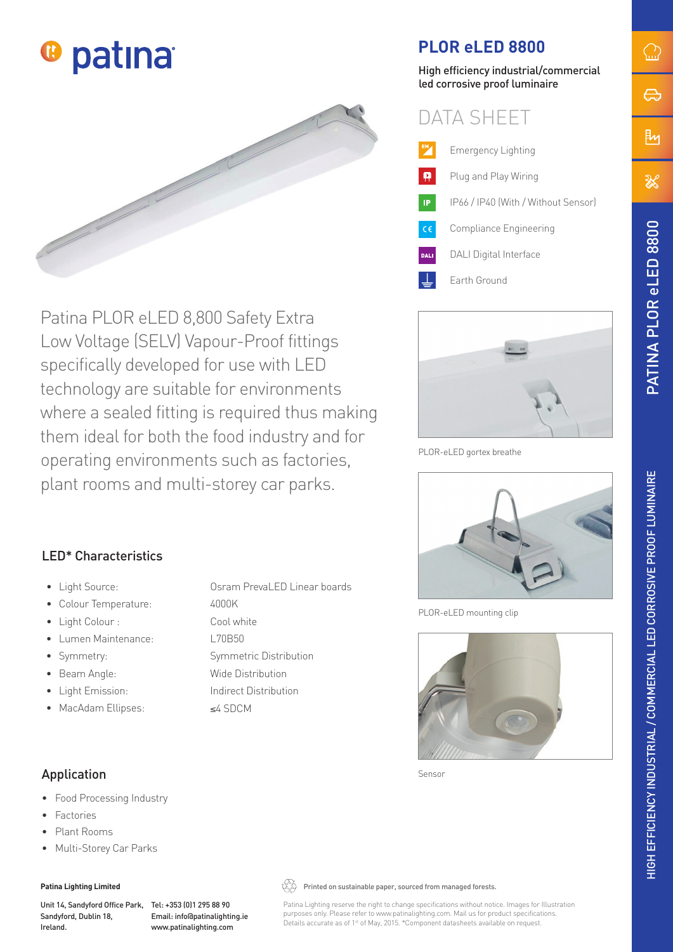



Patina PLOR eLED 8,800 Safety Extra Low Voltage (SELV) Vapour-Proof fittings specifically developed for use with LED technology are suitable for environments where a sealed fitting is required thus making them ideal for both the food industry and for operating environments such as factories, plant rooms and multi-storey car parks.

# **PLOR eLED 8800**

High efficiency industrial/commercial led corrosive proof luminaire





PLOR-eLED gortex breathe



PLOR-eLED mounting clip



Sensor

eLED 8800

PATINA PLOR eLED 8800

 $\bigcirc$ 

⇔

βη

 $\mathbb{X}$ 

## LED\* Characteristics

- Light Source: Osram PrevaLED Linear boards
- Colour Temperature: 4000K
- Light Colour : Cool white
- Lumen Maintenance: L70B50
- Symmetry: Symmetric Distribution
- Beam Angle: Wide Distribution
- Light Emission: Indirect Distribution
- MacAdam Ellipses: ≤4 SDCM

## Application

- Food Processing Industry
- **Factories**
- Plant Rooms
- Multi-Storey Car Parks

#### **Patina Lighting Limited**

Unit 14, Sandyford Office Park, Tel: +353 (0)1 295 88 90 Sandyford, Dublin 18, Ireland.

Email: info@patinalighting.ie www.patinalighting.com

 $\overleftrightarrow{\mathbb{Q}}$  Printed on sustainable paper, sourced from managed forests.

Patina Lighting reserve the right to change specifications without notice. Images for Illustration purposes only. Please refer to www.patinalighting.com. Mail us for product specifications. Details accurate as of 1<sup>st</sup> of May, 2015. \*Component datasheets available on request.